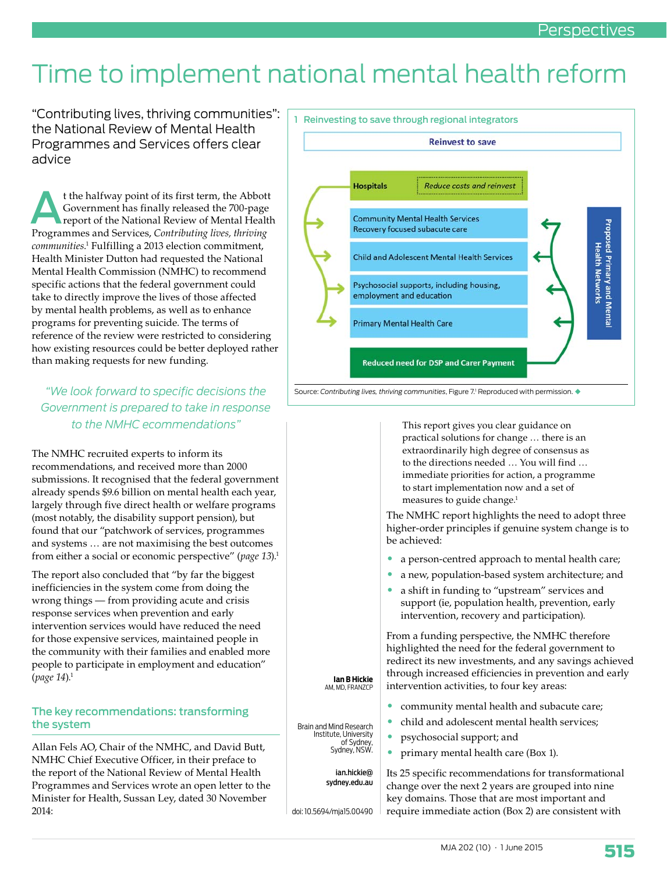# Time to implement national mental health reform

"Contributing lives, thriving communities": the National Review of Mental Health Programmes and Services offers clear advice

t the halfway point of its first term, the Abbott<br>Government has finally released the 700-page<br>report of the National Review of Mental Health<br>Programmes and Services. Contributing lives, thriving Government has finally released the 700-page report of the National Review of Mental Health Programmes and Services, *Contributing lives, thriving communities*. 1 Fulfilling a 2013 election commitment, Health Minister Dutton had requested the National Mental Health Commission (NMHC) to recommend specific actions that the federal government could take to directly improve the lives of those affected by mental health problems, as well as to enhance programs for preventing suicide. The terms of reference of the review were restricted to considering how existing resources could be better deployed rather than making requests for new funding.

## *"We look forward to specific decisions the Government is prepared to take in response to the NMHC ecommendations"*

The NMHC recruited experts to inform its recommendations, and received more than 2000 submissions. It recognised that the federal government already spends \$9.6 billion on mental health each year, largely through five direct health or welfare programs (most notably, the disability support pension), but found that our "patchwork of services, programmes and systems … are not maximising the best outcomes from either a social or economic perspective" (*page 13*).1

The report also concluded that "by far the biggest inefficiencies in the system come from doing the wrong things — from providing acute and crisis response services when prevention and early intervention services would have reduced the need for those expensive services, maintained people in the community with their families and enabled more people to participate in employment and education" (*page 14*).1

#### The key recommendations: transforming the system

Allan Fels AO, Chair of the NMHC, and David Butt, NMHC Chief Executive Officer, in their preface to the report of the National Review of Mental Health Programmes and Services wrote an open letter to the Minister for Health, Sussan Ley, dated 30 November 2014:



This report gives you clear guidance on practical solutions for change … there is an extraordinarily high degree of consensus as to the directions needed … You will find … immediate priorities for action, a programme to start implementation now and a set of measures to guide change.<sup>1</sup>

The NMHC report highlights the need to adopt three higher-order principles if genuine system change is to be achieved:

- a person-centred approach to mental health care;
- a new, population-based system architecture; and
- a shift in funding to "upstream" services and support (ie, population health, prevention, early intervention, recovery and participation).

From a funding perspective, the NMHC therefore highlighted the need for the federal government to redirect its new investments, and any savings achieved through increased efficiencies in prevention and early intervention activities, to four key areas:

- community mental health and subacute care;
- child and adolescent mental health services;
- psychosocial support; and
- primary mental health care (Box 1).

Its 25 specific recommendations for transformational change over the next 2 years are grouped into nine key domains. Those that are most important and require immediate action (Box 2) are consistent with

AM, MD, FRANZCP

**I an B Hickie** 

Brain and Mind Research Institute, University of Sydney, Sydney, NSW.

> ian.hickie@ sydney.edu.au

doi: 10.5694/mja15.00490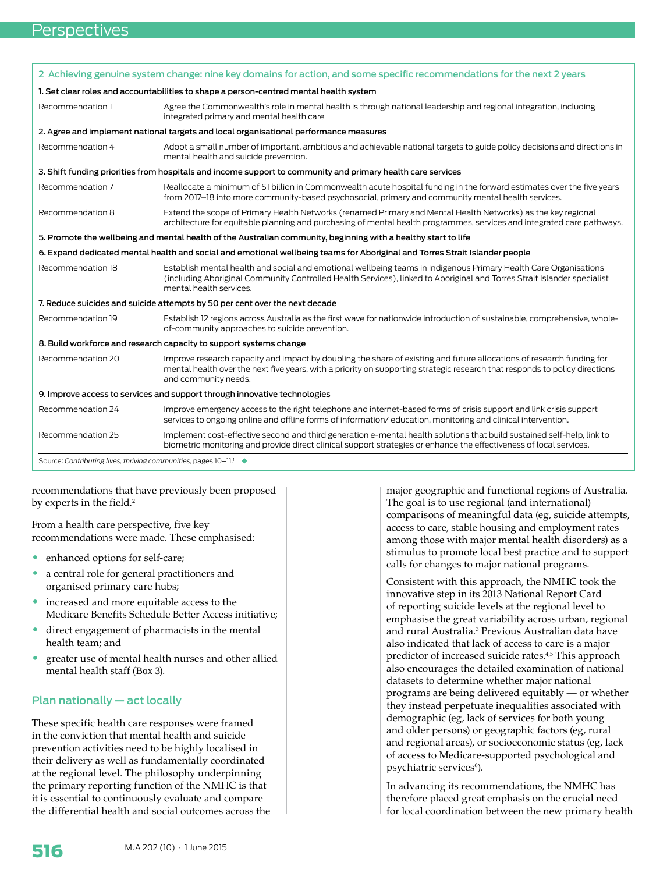|                                                                                                                                                                                                                                   | 2 Achieving genuine system change: nine key domains for action, and some specific recommendations for the next 2 years                                                                                                                                                       |  |
|-----------------------------------------------------------------------------------------------------------------------------------------------------------------------------------------------------------------------------------|------------------------------------------------------------------------------------------------------------------------------------------------------------------------------------------------------------------------------------------------------------------------------|--|
| 1. Set clear roles and accountabilities to shape a person-centred mental health system                                                                                                                                            |                                                                                                                                                                                                                                                                              |  |
| Recommendation 1                                                                                                                                                                                                                  | Agree the Commonwealth's role in mental health is through national leadership and regional integration, including<br>integrated primary and mental health care                                                                                                               |  |
| 2. Agree and implement national targets and local organisational performance measures                                                                                                                                             |                                                                                                                                                                                                                                                                              |  |
| Recommendation 4                                                                                                                                                                                                                  | Adopt a small number of important, ambitious and achievable national targets to guide policy decisions and directions in<br>mental health and suicide prevention.                                                                                                            |  |
|                                                                                                                                                                                                                                   | 3. Shift funding priorities from hospitals and income support to community and primary health care services                                                                                                                                                                  |  |
| Recommendation 7                                                                                                                                                                                                                  | Reallocate a minimum of \$1 billion in Commonwealth acute hospital funding in the forward estimates over the five years<br>from 2017-18 into more community-based psychosocial, primary and community mental health services.                                                |  |
| Recommendation 8                                                                                                                                                                                                                  | Extend the scope of Primary Health Networks (renamed Primary and Mental Health Networks) as the key regional<br>architecture for equitable planning and purchasing of mental health programmes, services and integrated care pathways.                                       |  |
|                                                                                                                                                                                                                                   | 5. Promote the wellbeing and mental health of the Australian community, beginning with a healthy start to life                                                                                                                                                               |  |
| 6. Expand dedicated mental health and social and emotional wellbeing teams for Aboriginal and Torres Strait Islander people                                                                                                       |                                                                                                                                                                                                                                                                              |  |
| Recommendation 18                                                                                                                                                                                                                 | Establish mental health and social and emotional wellbeing teams in Indigenous Primary Health Care Organisations<br>(including Aboriginal Community Controlled Health Services), linked to Aboriginal and Torres Strait Islander specialist<br>mental health services.       |  |
| 7. Reduce suicides and suicide attempts by 50 per cent over the next decade                                                                                                                                                       |                                                                                                                                                                                                                                                                              |  |
| Recommendation 19                                                                                                                                                                                                                 | Establish 12 regions across Australia as the first wave for nationwide introduction of sustainable, comprehensive, whole-<br>of-community approaches to suicide prevention.                                                                                                  |  |
| 8. Build workforce and research capacity to support systems change                                                                                                                                                                |                                                                                                                                                                                                                                                                              |  |
| Recommendation 20                                                                                                                                                                                                                 | Improve research capacity and impact by doubling the share of existing and future allocations of research funding for<br>mental health over the next five years, with a priority on supporting strategic research that responds to policy directions<br>and community needs. |  |
|                                                                                                                                                                                                                                   | 9. Improve access to services and support through innovative technologies                                                                                                                                                                                                    |  |
| Recommendation 24                                                                                                                                                                                                                 | Improve emergency access to the right telephone and internet-based forms of crisis support and link crisis support<br>services to ongoing online and offline forms of information/education, monitoring and clinical intervention.                                           |  |
| Recommendation 25                                                                                                                                                                                                                 | Implement cost-effective second and third generation e-mental health solutions that build sustained self-help, link to<br>biometric monitoring and provide direct clinical support strategies or enhance the effectiveness of local services.                                |  |
| $\sigma$ , and the set of the set of the set of the set of the set of the set of the set of the set of the set of the set of the set of the set of the set of the set of the set of the set of the set of the set of the set of t | $\sim$ 10 $\sim$ 11 $\sim$ $\sim$                                                                                                                                                                                                                                            |  |

Source: *Contributing lives, thriving communities*, pages 10–11.1

recommendations that have previously been proposed by experts in the field.<sup>2</sup>

From a health care perspective, five key recommendations were made. These emphasised:

- enhanced options for self-care;
- a central role for general practitioners and organised primary care hubs;
- increased and more equitable access to the Medicare Benefits Schedule Better Access initiative;
- direct engagement of pharmacists in the mental health team; and
- greater use of mental health nurses and other allied mental health staff (Box 3).

### Plan nationally — act locally

These specific health care responses were framed in the conviction that mental health and suicide prevention activities need to be highly localised in their delivery as well as fundamentally coordinated at the regional level. The philosophy underpinning the primary reporting function of the NMHC is that it is essential to continuously evaluate and compare the differential health and social outcomes across the major geographic and functional regions of Australia. The goal is to use regional (and international) comparisons of meaningful data (eg, suicide attempts, access to care, stable housing and employment rates among those with major mental health disorders) as a stimulus to promote local best practice and to support calls for changes to major national programs.

Consistent with this approach, the NMHC took the innovative step in its 2013 National Report Card of reporting suicide levels at the regional level to emphasise the great variability across urban, regional and rural Australia.3 Previous Australian data have also indicated that lack of access to care is a major predictor of increased suicide rates.4,5 This approach also encourages the detailed examination of national datasets to determine whether major national programs are being delivered equitably — or whether they instead perpetuate inequalities associated with demographic (eg, lack of services for both young and older persons) or geographic factors (eg, rural and regional areas), or socioeconomic status (eg, lack of access to Medicare-supported psychological and psychiatric services<sup>6</sup>).

In advancing its recommendations, the NMHC has therefore placed great emphasis on the crucial need for local coordination between the new primary health

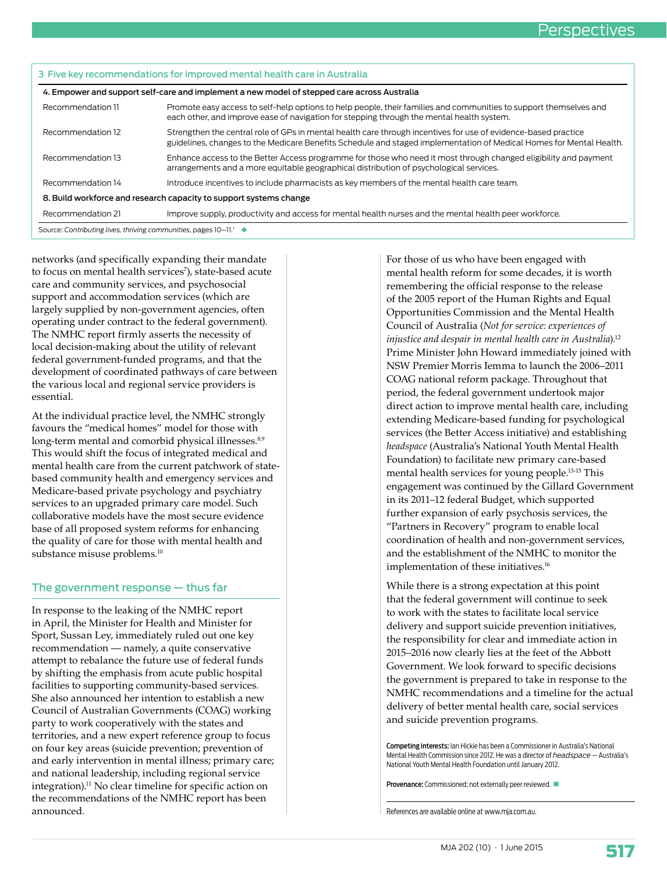| 3 Five key recommendations for improved mental health care in Australia                     |                                                                                                                                                                                                                                       |  |
|---------------------------------------------------------------------------------------------|---------------------------------------------------------------------------------------------------------------------------------------------------------------------------------------------------------------------------------------|--|
| 4. Empower and support self-care and implement a new model of stepped care across Australia |                                                                                                                                                                                                                                       |  |
| Recommendation 11                                                                           | Promote easy access to self-help options to help people, their families and communities to support themselves and<br>each other, and improve ease of navigation for stepping through the mental health system.                        |  |
| Recommendation 12                                                                           | Strengthen the central role of GPs in mental health care through incentives for use of evidence-based practice<br>guidelines, changes to the Medicare Benefits Schedule and staged implementation of Medical Homes for Mental Health. |  |
| Recommendation 13                                                                           | Enhance access to the Better Access programme for those who need it most through changed eligibility and payment<br>arrangements and a more equitable geographical distribution of psychological services.                            |  |
| Recommendation 14                                                                           | Introduce incentives to include pharmacists as key members of the mental health care team.                                                                                                                                            |  |
| 8. Build workforce and research capacity to support systems change                          |                                                                                                                                                                                                                                       |  |
| Recommendation 21                                                                           | Improve supply, productivity and access for mental health nurses and the mental health peer workforce.                                                                                                                                |  |
| Source: Contributing lives, thriving communities, pages 10-11. <sup>1</sup> ◆               |                                                                                                                                                                                                                                       |  |

networks (and specifically expanding their mandate to focus on mental health services'), state-based acute care and community services, and psychosocial support and accommodation services (which are largely supplied by non-government agencies, often operating under contract to the federal government). The NMHC report firmly asserts the necessity of local decision-making about the utility of relevant federal government-funded programs, and that the development of coordinated pathways of care between the various local and regional service providers is essential.

At the individual practice level, the NMHC strongly favours the "medical homes" model for those with long-term mental and comorbid physical illnesses.<sup>8,9</sup> This would shift the focus of integrated medical and mental health care from the current patchwork of statebased community health and emergency services and Medicare-based private psychology and psychiatry services to an upgraded primary care model. Such collaborative models have the most secure evidence base of all proposed system reforms for enhancing the quality of care for those with mental health and substance misuse problems.<sup>10</sup>

#### The government response — thus far

In response to the leaking of the NMHC report in April, the Minister for Health and Minister for Sport, Sussan Ley, immediately ruled out one key recommendation — namely, a quite conservative attempt to rebalance the future use of federal funds by shifting the emphasis from acute public hospital facilities to supporting community-based services. She also announced her intention to establish a new Council of Australian Governments (COAG) working party to work cooperatively with the states and territories, and a new expert reference group to focus on four key areas (suicide prevention; prevention of and early intervention in mental illness; primary care; and national leadership, including regional service integration).11 No clear timeline for specific action on the recommendations of the NMHC report has been announced.

For those of us who have been engaged with mental health reform for some decades, it is worth remembering the official response to the release of the 2005 report of the Human Rights and Equal Opportunities Commission and the Mental Health Council of Australia (*Not for service: experiences of injustice and despair in mental health care in Australia*).12 Prime Minister John Howard immediately joined with NSW Premier Morris Iemma to launch the 2006–2011 COAG national reform package. Throughout that period, the federal government undertook major direct action to improve mental health care, including extending Medicare-based funding for psychological services (the Better Access initiative) and establishing *headspace* (Australia's National Youth Mental Health Foundation) to facilitate new primary care-based mental health services for young people.13-15 This engagement was continued by the Gillard Government in its 2011–12 federal Budget, which supported further expansion of early psychosis services, the "Partners in Recovery" program to enable local coordination of health and non-government services, and the establishment of the NMHC to monitor the implementation of these initiatives.<sup>16</sup>

While there is a strong expectation at this point that the federal government will continue to seek to work with the states to facilitate local service delivery and support suicide prevention initiatives, the responsibility for clear and immediate action in 2015–2016 now clearly lies at the feet of the Abbott Government. We look forward to specific decisions the government is prepared to take in response to the NMHC recommendations and a timeline for the actual delivery of better mental health care, social services and suicide prevention programs.

Competing interests: Ian Hickie has been a Commissioner in Australia's National Mental Health Commission since 2012. He was a director of *headspace* — Australia's National Youth Mental Health Foundation until January 2012.

Provenance: Commissioned; not externally peer reviewed.

References are available online at www.mja.com.au.